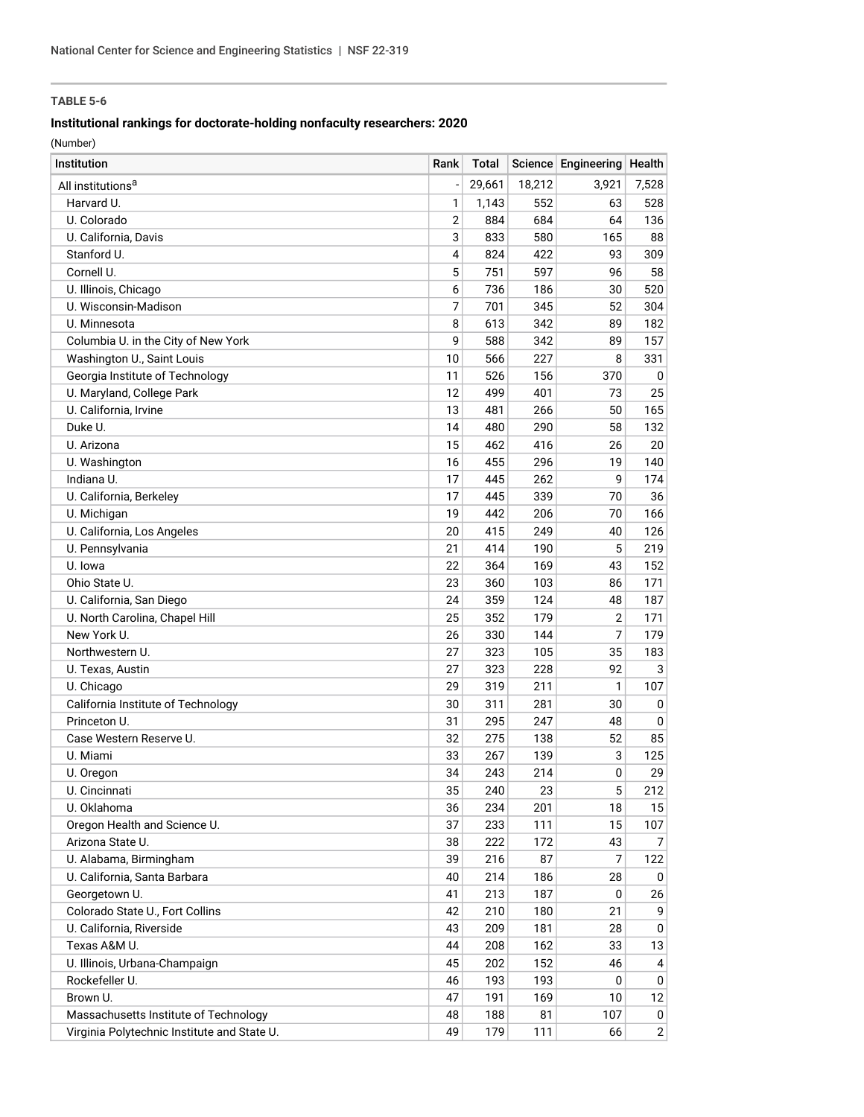## **Institutional rankings for doctorate-holding nonfaculty researchers: 2020**

| Institution                                 | Rank           | Total  |        | Science Engineering Health |              |
|---------------------------------------------|----------------|--------|--------|----------------------------|--------------|
| All institutions <sup>a</sup>               |                | 29,661 | 18,212 | 3,921                      | 7,528        |
| Harvard U.                                  | 1              | 1,143  | 552    | 63                         | 528          |
| U. Colorado                                 | $\overline{2}$ | 884    | 684    | 64                         | 136          |
| U. California, Davis                        | 3              | 833    | 580    | 165                        | 88           |
| Stanford U.                                 | 4              | 824    | 422    | 93                         | 309          |
| Cornell U.                                  | 5              | 751    | 597    | 96                         | 58           |
| U. Illinois, Chicago                        | 6              | 736    | 186    | 30                         | 520          |
| U. Wisconsin-Madison                        | 7              | 701    | 345    | 52                         | 304          |
| U. Minnesota                                | 8              | 613    | 342    | 89                         | 182          |
| Columbia U. in the City of New York         | 9              | 588    | 342    | 89                         | 157          |
| Washington U., Saint Louis                  | 10             | 566    | 227    | 8                          | 331          |
| Georgia Institute of Technology             | 11             | 526    | 156    | 370                        | 0            |
| U. Maryland, College Park                   | 12             | 499    | 401    | 73                         | 25           |
| U. California, Irvine                       | 13             | 481    | 266    | 50                         | 165          |
| Duke U.                                     | 14             | 480    | 290    | 58                         | 132          |
| U. Arizona                                  | 15             | 462    | 416    | 26                         | 20           |
| U. Washington                               | 16             | 455    | 296    | 19                         | 140          |
| Indiana U.                                  | 17             | 445    | 262    | 9                          | 174          |
| U. California, Berkeley                     | 17             | 445    | 339    | 70                         | 36           |
| U. Michigan                                 | 19             | 442    | 206    | 70                         | 166          |
| U. California, Los Angeles                  | 20             | 415    | 249    | 40                         | 126          |
| U. Pennsylvania                             | 21             | 414    | 190    | 5                          | 219          |
| U. Iowa                                     | 22             | 364    | 169    | 43                         | 152          |
| Ohio State U.                               | 23             | 360    | 103    | 86                         | 171          |
| U. California, San Diego                    | 24             | 359    | 124    | 48                         | 187          |
| U. North Carolina, Chapel Hill              | 25             | 352    | 179    | $\overline{2}$             | 171          |
| New York U.                                 | 26             | 330    | 144    | 7                          | 179          |
| Northwestern U.                             | 27             | 323    | 105    | 35                         | 183          |
| U. Texas, Austin                            | 27             | 323    | 228    | 92                         | 3            |
| U. Chicago                                  | 29             | 319    | 211    | 1                          | 107          |
| California Institute of Technology          | 30             | 311    | 281    | 30                         | 0            |
| Princeton U.                                | 31             | 295    | 247    | 48                         | 0            |
| Case Western Reserve U.                     | 32             | 275    | 138    | 52                         | 85           |
| U. Miami                                    | 33             | 267    | 139    | 3                          | 125          |
| U. Oregon                                   | 34             | 243    | 214    | 0                          | 29           |
| U. Cincinnati                               | 35             | 240    | 23     | 5                          | 212          |
| U. Oklahoma                                 | 36             | 234    | 201    | 18                         | 15           |
| Oregon Health and Science U.                | 37             | 233    | 111    | 15                         | 107          |
| Arizona State U.                            | 38             | 222    | 172    | 43                         | 7            |
| U. Alabama, Birmingham                      | 39             | 216    | 87     | 7                          | 122          |
| U. California, Santa Barbara                | 40             | 214    | 186    | 28                         | 0            |
| Georgetown U.                               | 41             | 213    | 187    | 0                          | 26           |
| Colorado State U., Fort Collins             | 42             | 210    | 180    | 21                         | 9            |
| U. California, Riverside                    | 43             | 209    | 181    | 28                         | 0            |
| Texas A&M U.                                | 44             | 208    | 162    | 33                         | 13           |
| U. Illinois, Urbana-Champaign               | 45             | 202    | 152    | 46                         | 4            |
| Rockefeller U.                              | 46             | 193    | 193    | 0                          | 0            |
| Brown U.                                    | 47             | 191    | 169    | 10                         | 12           |
| Massachusetts Institute of Technology       | 48             | 188    | 81     | 107                        | 0            |
| Virginia Polytechnic Institute and State U. | 49             | 179    | 111    | 66                         | $\mathbf{2}$ |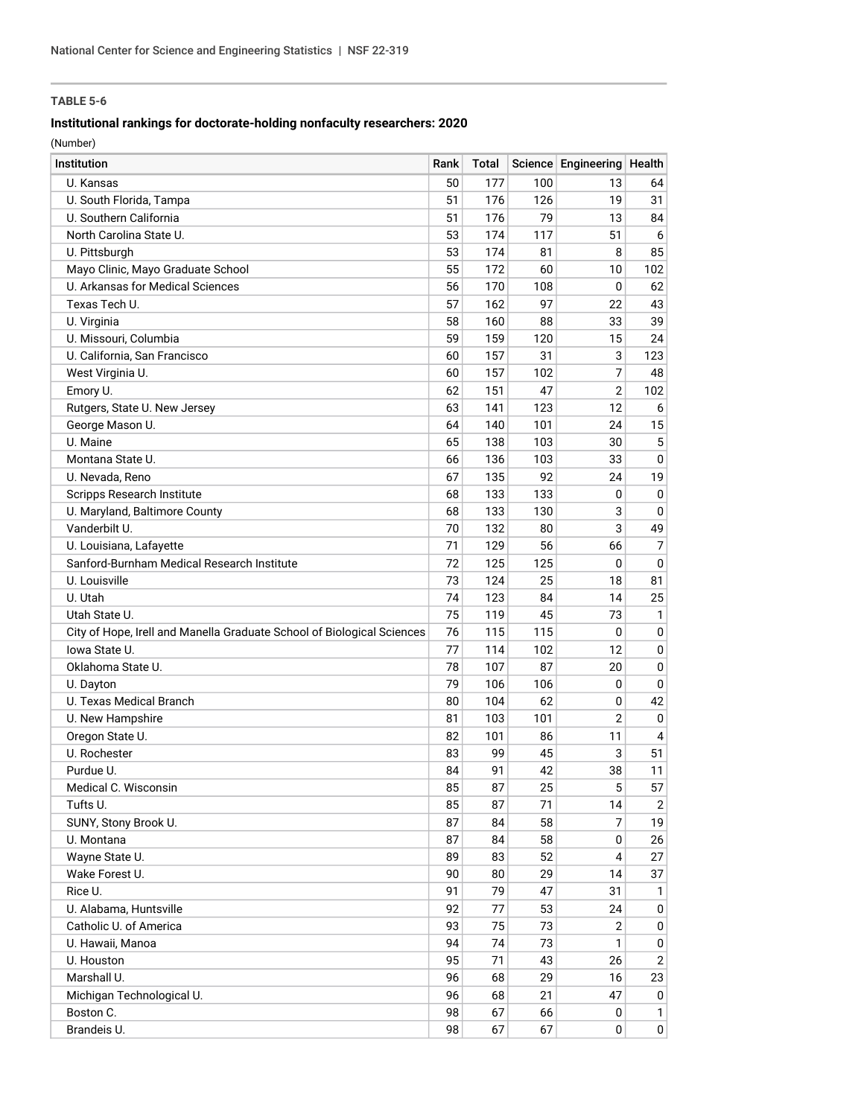## **Institutional rankings for doctorate-holding nonfaculty researchers: 2020**

| Institution                                                            | Rank | Total |     | Science Engineering Health |                |
|------------------------------------------------------------------------|------|-------|-----|----------------------------|----------------|
| U. Kansas                                                              | 50   | 177   | 100 | 13                         | 64             |
| U. South Florida, Tampa                                                | 51   | 176   | 126 | 19                         | 31             |
| U. Southern California                                                 | 51   | 176   | 79  | 13                         | 84             |
| North Carolina State U.                                                | 53   | 174   | 117 | 51                         | 6              |
| U. Pittsburgh                                                          | 53   | 174   | 81  | 8                          | 85             |
| Mayo Clinic, Mayo Graduate School                                      | 55   | 172   | 60  | 10                         | 102            |
| U. Arkansas for Medical Sciences                                       | 56   | 170   | 108 | 0                          | 62             |
| Texas Tech U.                                                          | 57   | 162   | 97  | 22                         | 43             |
| U. Virginia                                                            | 58   | 160   | 88  | 33                         | 39             |
| U. Missouri, Columbia                                                  | 59   | 159   | 120 | 15                         | 24             |
| U. California, San Francisco                                           | 60   | 157   | 31  | 3                          | 123            |
| West Virginia U.                                                       | 60   | 157   | 102 | 7                          | 48             |
| Emory U.                                                               | 62   | 151   | 47  | $\overline{2}$             | 102            |
| Rutgers, State U. New Jersey                                           | 63   | 141   | 123 | 12                         | 6              |
| George Mason U.                                                        | 64   | 140   | 101 | 24                         | 15             |
| U. Maine                                                               | 65   | 138   | 103 | 30                         | 5              |
| Montana State U.                                                       | 66   | 136   | 103 | 33                         | 0              |
| U. Nevada, Reno                                                        | 67   | 135   | 92  | 24                         | 19             |
| Scripps Research Institute                                             | 68   | 133   | 133 | 0                          | 0              |
| U. Maryland, Baltimore County                                          | 68   | 133   | 130 | 3                          | 0              |
| Vanderbilt U.                                                          | 70   | 132   | 80  | 3                          | 49             |
| U. Louisiana, Lafayette                                                | 71   | 129   | 56  | 66                         | 7              |
| Sanford-Burnham Medical Research Institute                             | 72   | 125   | 125 | 0                          | $\mathbf 0$    |
| U. Louisville                                                          | 73   | 124   | 25  | 18                         | 81             |
| U. Utah                                                                | 74   | 123   | 84  | 14                         | 25             |
| Utah State U.                                                          | 75   | 119   | 45  | 73                         | $\mathbf{1}$   |
| City of Hope, Irell and Manella Graduate School of Biological Sciences | 76   | 115   | 115 | 0                          | $\mathbf 0$    |
| lowa State U.                                                          | 77   | 114   | 102 | 12                         | $\mathbf 0$    |
| Oklahoma State U.                                                      | 78   | 107   | 87  | 20                         | 0              |
| U. Dayton                                                              | 79   | 106   | 106 | 0                          | $\mathbf 0$    |
| U. Texas Medical Branch                                                | 80   | 104   | 62  | 0                          | 42             |
| U. New Hampshire                                                       | 81   | 103   | 101 | $\overline{2}$             | $\mathbf 0$    |
| Oregon State U.                                                        | 82   | 101   | 86  | 11                         | 4              |
| U. Rochester                                                           | 83   | 99    | 45  | 3                          | 51             |
| Purdue U.                                                              | 84   | 91    | 42  | 38                         | 11             |
| Medical C. Wisconsin                                                   | 85   | 87    | 25  | 5                          | 57             |
| Tufts U.                                                               | 85   | 87    | 71  | 14                         | $\overline{2}$ |
| SUNY, Stony Brook U.                                                   | 87   | 84    | 58  | 7                          | 19             |
| U. Montana                                                             | 87   | 84    | 58  | 0                          | 26             |
| Wayne State U.                                                         | 89   | 83    | 52  | 4                          | 27             |
| Wake Forest U.                                                         | 90   | 80    | 29  | 14                         | 37             |
| Rice U.                                                                | 91   | 79    | 47  | 31                         | 1              |
| U. Alabama, Huntsville                                                 | 92   | 77    | 53  | 24                         | 0              |
| Catholic U. of America                                                 | 93   | 75    | 73  | $\overline{2}$             | 0              |
| U. Hawaii, Manoa                                                       | 94   | 74    | 73  | 1                          | 0              |
| U. Houston                                                             | 95   | 71    | 43  | 26                         | $\overline{2}$ |
| Marshall U.                                                            | 96   | 68    | 29  | 16                         | 23             |
| Michigan Technological U.                                              | 96   | 68    | 21  | 47                         | 0              |
| Boston C.                                                              | 98   | 67    | 66  | 0                          | 1              |
| Brandeis U.                                                            | 98   | 67    | 67  | 0                          | $\pmb{0}$      |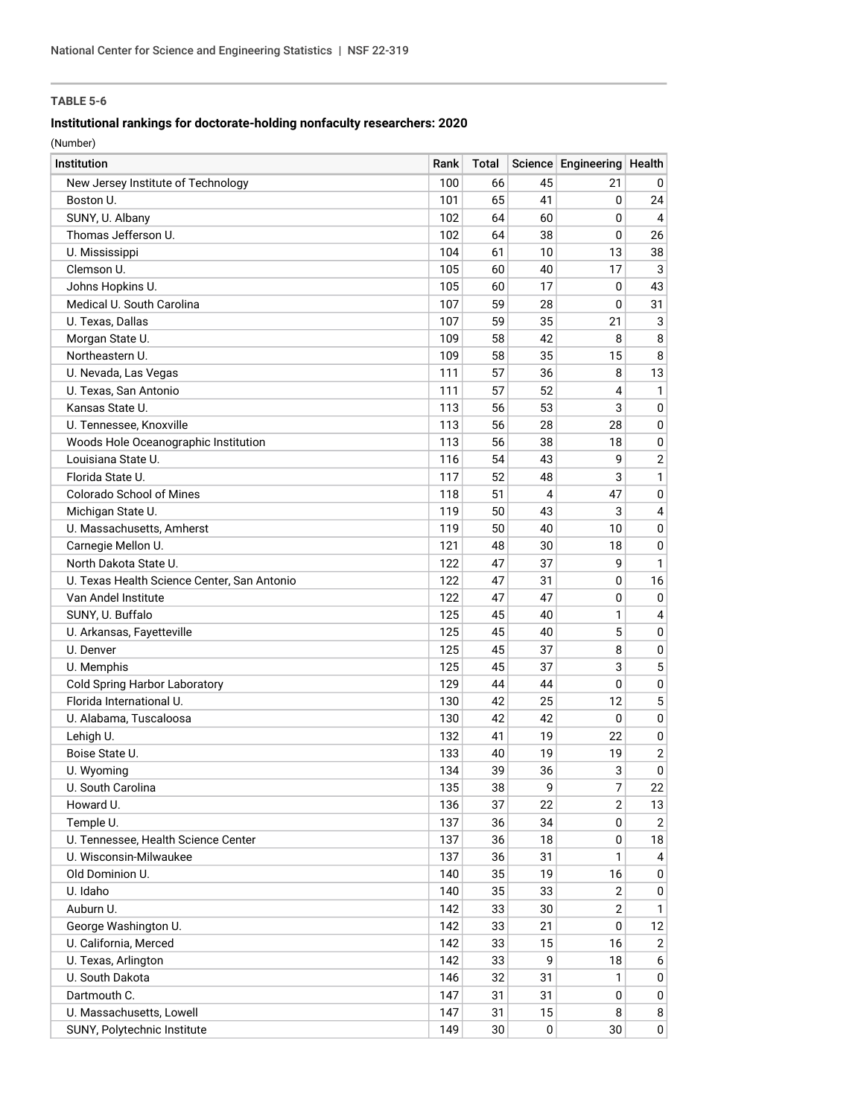## **Institutional rankings for doctorate-holding nonfaculty researchers: 2020**

| Institution                                 | Rank | <b>Total</b> |    | Science Engineering Health |                  |
|---------------------------------------------|------|--------------|----|----------------------------|------------------|
| New Jersey Institute of Technology          | 100  | 66           | 45 | 21                         | 0                |
| Boston U.                                   | 101  | 65           | 41 | 0                          | 24               |
| SUNY, U. Albany                             | 102  | 64           | 60 | 0                          | 4                |
| Thomas Jefferson U.                         | 102  | 64           | 38 | 0                          | 26               |
| U. Mississippi                              | 104  | 61           | 10 | 13                         | 38               |
| Clemson U.                                  | 105  | 60           | 40 | 17                         | $\mathbf{3}$     |
| Johns Hopkins U.                            | 105  | 60           | 17 | 0                          | 43               |
| Medical U. South Carolina                   | 107  | 59           | 28 | 0                          | 31               |
| U. Texas, Dallas                            | 107  | 59           | 35 | 21                         | 3                |
| Morgan State U.                             | 109  | 58           | 42 | 8                          | 8                |
| Northeastern U.                             | 109  | 58           | 35 | 15                         | 8                |
| U. Nevada, Las Vegas                        | 111  | 57           | 36 | 8                          | 13               |
| U. Texas, San Antonio                       | 111  | 57           | 52 | 4                          | $\mathbf{1}$     |
| Kansas State U.                             | 113  | 56           | 53 | 3                          | 0                |
| U. Tennessee, Knoxville                     | 113  | 56           | 28 | 28                         | 0                |
| Woods Hole Oceanographic Institution        | 113  | 56           | 38 | 18                         | 0                |
| Louisiana State U.                          | 116  | 54           | 43 | 9                          | $\overline{2}$   |
| Florida State U.                            | 117  | 52           | 48 | 3                          | $\mathbf{1}$     |
| <b>Colorado School of Mines</b>             | 118  | 51           | 4  | 47                         | 0                |
| Michigan State U.                           | 119  | 50           | 43 | 3                          | $\overline{4}$   |
| U. Massachusetts, Amherst                   | 119  | 50           | 40 | 10                         | 0                |
| Carnegie Mellon U.                          | 121  | 48           | 30 | 18                         | 0                |
| North Dakota State U.                       | 122  | 47           | 37 | 9                          | 1                |
| U. Texas Health Science Center, San Antonio | 122  | 47           | 31 | 0                          | 16               |
| Van Andel Institute                         | 122  | 47           | 47 | 0                          | $\mathbf 0$      |
| SUNY, U. Buffalo                            | 125  | 45           | 40 | 1                          | $\overline{4}$   |
| U. Arkansas, Fayetteville                   | 125  | 45           | 40 | 5                          | 0                |
| U. Denver                                   | 125  | 45           | 37 | 8                          | 0                |
| U. Memphis                                  | 125  | 45           | 37 | 3                          | 5                |
| <b>Cold Spring Harbor Laboratory</b>        | 129  | 44           | 44 | $\mathbf{0}$               | 0                |
| Florida International U.                    | 130  | 42           | 25 | 12                         | 5                |
| U. Alabama, Tuscaloosa                      | 130  | 42           | 42 | 0                          | 0                |
| Lehigh U.                                   | 132  | 41           | 19 | 22                         | 0                |
| Boise State U.                              | 133  | 40           | 19 | 19                         | $\boldsymbol{2}$ |
| U. Wyoming                                  | 134  | 39           | 36 | 3                          | 0                |
| U. South Carolina                           | 135  | 38           | 9  | $\overline{7}$             | 22               |
| Howard U.                                   | 136  | 37           | 22 | $\overline{2}$             | 13               |
| Temple U.                                   | 137  | 36           | 34 | 0                          | 2                |
| U. Tennessee, Health Science Center         | 137  | 36           | 18 | 0                          | 18               |
| U. Wisconsin-Milwaukee                      | 137  | 36           | 31 | 1                          | 4                |
| Old Dominion U.                             | 140  | 35           | 19 | 16                         | 0                |
| U. Idaho                                    | 140  | 35           | 33 | $\overline{2}$             | 0                |
| Auburn U.                                   | 142  | 33           | 30 | $\overline{2}$             | 1                |
| George Washington U.                        | 142  | 33           | 21 | 0                          | 12               |
| U. California, Merced                       | 142  | 33           | 15 | 16                         | $\overline{2}$   |
| U. Texas, Arlington                         | 142  | 33           | 9  | 18                         | 6                |
| U. South Dakota                             | 146  | 32           | 31 | 1                          | 0                |
| Dartmouth C.                                | 147  | 31           | 31 | 0                          | $\mathbf 0$      |
| U. Massachusetts, Lowell                    | 147  | 31           | 15 | 8                          | 8                |
| SUNY, Polytechnic Institute                 | 149  | 30           | 0  | 30                         | 0                |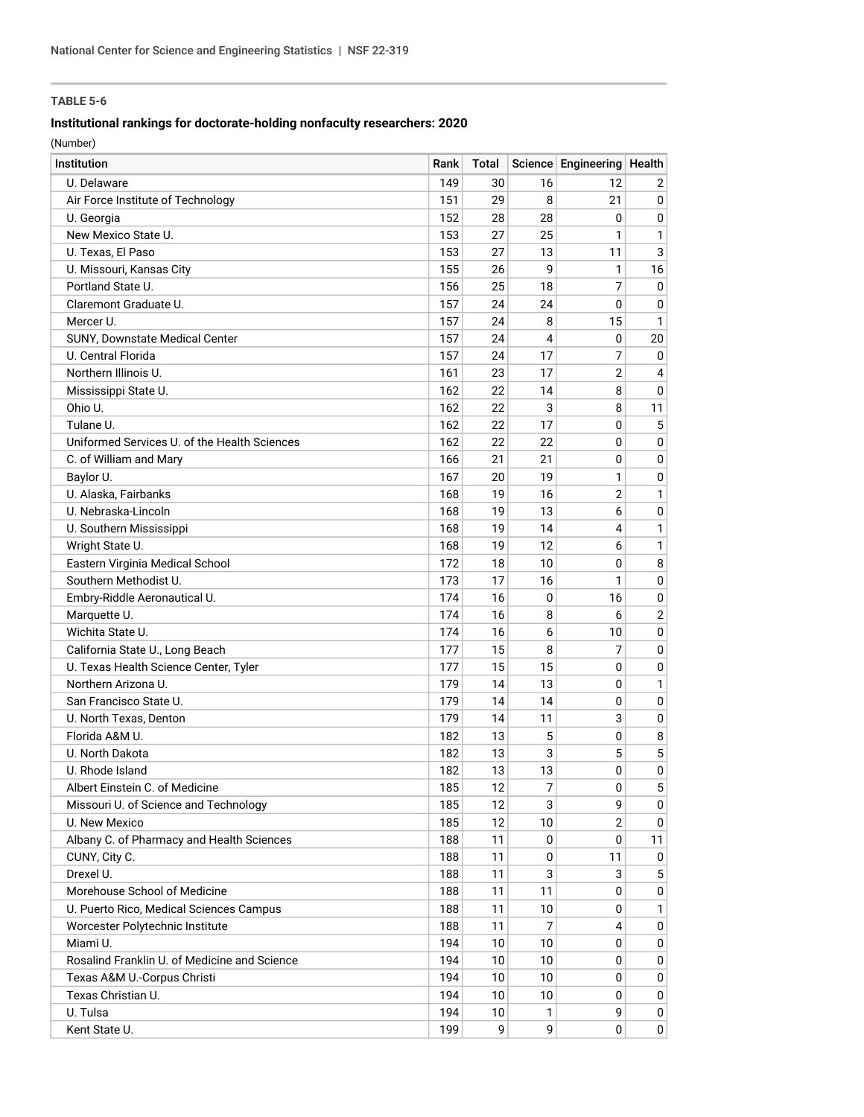## **Institutional rankings for doctorate-holding nonfaculty researchers: 2020**

| <b>Institution</b>                           | Rank | Total           |    | Science Engineering Health |                |
|----------------------------------------------|------|-----------------|----|----------------------------|----------------|
| U. Delaware                                  | 149  | 30              | 16 | 12                         | 2              |
| Air Force Institute of Technology            | 151  | 29              | 8  | 21                         | $\mathbf 0$    |
| U. Georgia                                   | 152  | 28              | 28 | 0                          | 0              |
| New Mexico State U.                          | 153  | 27              | 25 | 1                          | $\mathbf{1}$   |
| U. Texas. El Paso                            | 153  | 27              | 13 | 11                         | 3              |
| U. Missouri, Kansas City                     | 155  | 26              | 9  | 1                          | 16             |
| Portland State U.                            | 156  | 25              | 18 | 7                          | 0              |
| Claremont Graduate U.                        | 157  | 24              | 24 | 0                          | 0              |
| Mercer U.                                    | 157  | 24              | 8  | 15                         | $\mathbf{1}$   |
| SUNY, Downstate Medical Center               | 157  | 24              | 4  | 0                          | 20             |
| U. Central Florida                           | 157  | 24              | 17 | 7                          | 0              |
| Northern Illinois U.                         | 161  | 23              | 17 | $\overline{2}$             | 4              |
| Mississippi State U.                         | 162  | 22              | 14 | 8                          | 0              |
| Ohio U.                                      | 162  | 22              | 3  | 8                          | 11             |
| Tulane U.                                    | 162  | 22              | 17 | 0                          | 5              |
| Uniformed Services U. of the Health Sciences | 162  | 22              | 22 | 0                          | 0              |
| C. of William and Mary                       | 166  | 21              | 21 | 0                          | 0              |
| Baylor U.                                    | 167  | 20              | 19 | 1                          | 0              |
| U. Alaska, Fairbanks                         | 168  | 19              | 16 | $\overline{2}$             | $\mathbf{1}$   |
| U. Nebraska-Lincoln                          | 168  | 19              | 13 | 6                          | 0              |
| U. Southern Mississippi                      | 168  | 19              | 14 | 4                          | $\mathbf{1}$   |
| Wright State U.                              | 168  | 19              | 12 | 6                          | $\mathbf{1}$   |
| Eastern Virginia Medical School              | 172  | 18              | 10 | 0                          | 8              |
| Southern Methodist U.                        | 173  | 17              | 16 | 1                          | $\mathbf 0$    |
| Embry-Riddle Aeronautical U.                 | 174  | 16              | 0  | 16                         | 0              |
| Marquette U.                                 | 174  | 16              | 8  | 6                          | $\overline{2}$ |
| Wichita State U.                             | 174  | 16              | 6  | 10                         | 0              |
| California State U., Long Beach              | 177  | 15              | 8  | 7                          | 0              |
| U. Texas Health Science Center, Tyler        | 177  | 15              | 15 | 0                          | 0              |
| Northern Arizona U.                          | 179  | 14              | 13 | 0                          | $\mathbf{1}$   |
| San Francisco State U.                       | 179  | 14              | 14 | 0                          | 0              |
| U. North Texas, Denton                       | 179  | 14              | 11 | 3                          | 0              |
| Florida A&M U.                               | 182  | 13              | 5  | $\mathbf 0$                | 8              |
| U. North Dakota                              | 182  | 13              | 3  | 5                          | 5              |
| U. Rhode Island                              | 182  | 13              | 13 | 0                          | 0              |
| Albert Einstein C. of Medicine               | 185  | 12              | 7  | $\mathbf 0$                | 5 <sup>1</sup> |
| Missouri U. of Science and Technology        | 185  | 12              | 3  | 9                          | $\mathbf{0}$   |
| U. New Mexico                                | 185  | 12              | 10 | $\overline{2}$             | 0              |
| Albany C. of Pharmacy and Health Sciences    | 188  | 11              | 0  | 0                          | 11             |
| CUNY, City C.                                | 188  | 11              | 0  | 11                         | 0              |
| Drexel U.                                    | 188  | 11              | 3  | 3                          | 5              |
| Morehouse School of Medicine                 | 188  | 11              | 11 | 0                          | 0              |
| U. Puerto Rico, Medical Sciences Campus      | 188  | 11              | 10 | 0                          | 1              |
| Worcester Polytechnic Institute              | 188  | 11              | 7  | 4                          | 0              |
| Miami U.                                     | 194  | 10              | 10 | 0                          | 0              |
| Rosalind Franklin U. of Medicine and Science | 194  | 10              | 10 | 0                          | 0              |
| Texas A&M U.-Corpus Christi                  | 194  | 10              | 10 | 0                          | 0              |
| Texas Christian U.                           | 194  | 10              | 10 | 0                          | 0              |
| U. Tulsa                                     | 194  | 10 <sup>1</sup> | 1  | 9                          | 0              |
| Kent State U.                                | 199  | 9               | 9  | 0                          | 0              |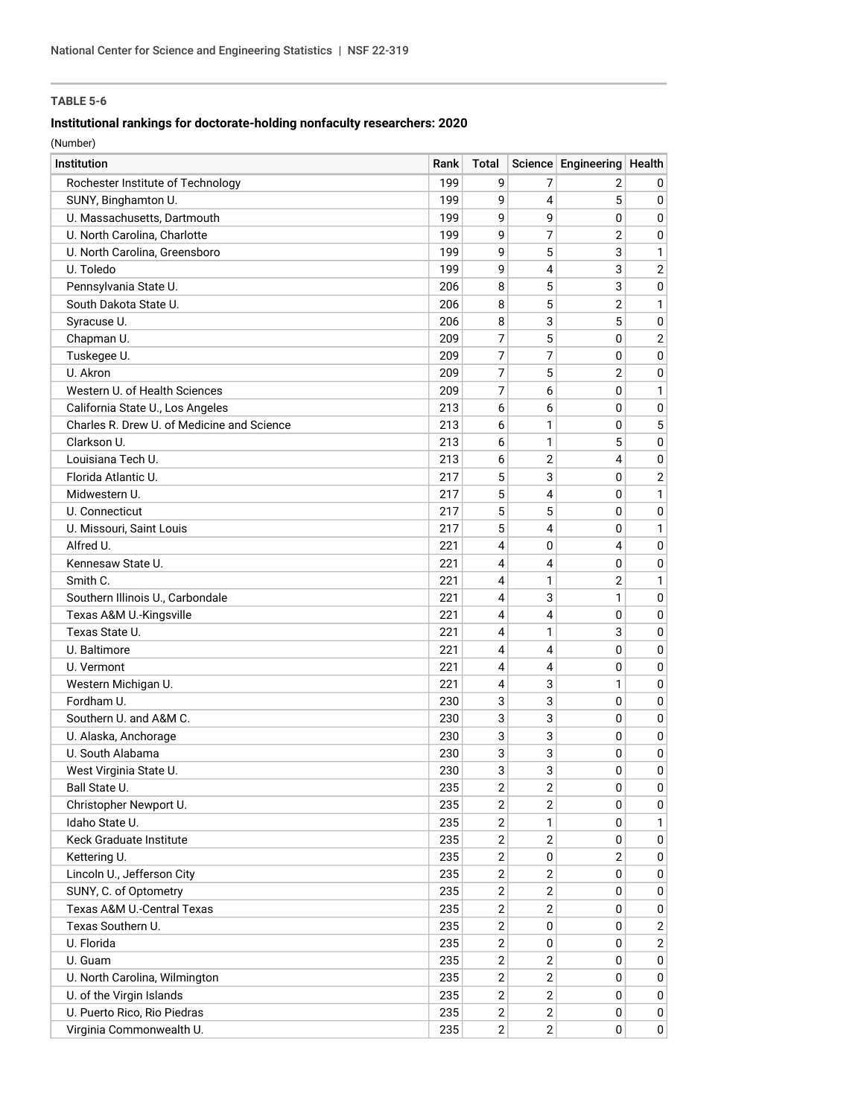## **Institutional rankings for doctorate-holding nonfaculty researchers: 2020**

| Institution                                | Rank | Total          |                | Science Engineering Health |                |
|--------------------------------------------|------|----------------|----------------|----------------------------|----------------|
| Rochester Institute of Technology          | 199  | 9              | 7              | 2                          | 0              |
| SUNY, Binghamton U.                        | 199  | 9              | 4              | 5                          | $\mathbf 0$    |
| U. Massachusetts, Dartmouth                | 199  | 9              | 9              | 0                          | $\mathbf 0$    |
| U. North Carolina, Charlotte               | 199  | 9              | 7              | $\overline{2}$             | 0              |
| U. North Carolina, Greensboro              | 199  | 9              | 5              | 3                          | $\mathbf{1}$   |
| U. Toledo                                  | 199  | 9              | 4              | 3                          | $\overline{2}$ |
| Pennsylvania State U.                      | 206  | 8              | 5              | 3                          | $\mathbf 0$    |
| South Dakota State U.                      | 206  | 8              | 5              | $\overline{2}$             | $\mathbf{1}$   |
| Syracuse U.                                | 206  | 8              | 3              | 5                          | $\mathbf 0$    |
| Chapman U.                                 | 209  | 7              | 5              | $\mathbf{0}$               | $\overline{2}$ |
| Tuskegee U.                                | 209  | 7              | 7              | 0                          | $\mathbf 0$    |
| U. Akron                                   | 209  | 7              | 5              | $\overline{2}$             | $\mathbf 0$    |
| Western U. of Health Sciences              | 209  | 7              | 6              | 0                          | $\mathbf{1}$   |
| California State U., Los Angeles           | 213  | 6              | 6              | 0                          | $\mathbf 0$    |
| Charles R. Drew U. of Medicine and Science | 213  | 6              | 1              | 0                          | 5              |
| Clarkson U.                                | 213  | 6              | 1              | 5                          | 0              |
| Louisiana Tech U.                          | 213  | 6              | 2              | 4                          | 0              |
| Florida Atlantic U.                        | 217  | 5              | 3              | 0                          | $\overline{2}$ |
| Midwestern U.                              | 217  | 5              | 4              | 0                          | $\mathbf{1}$   |
| U. Connecticut                             | 217  | 5              | 5              | 0                          | 0              |
| U. Missouri, Saint Louis                   | 217  | 5              | 4              | 0                          | $\mathbf{1}$   |
| Alfred U.                                  | 221  | 4              | 0              | 4                          | 0              |
| Kennesaw State U.                          | 221  | 4              | 4              | 0                          | 0              |
| Smith C.                                   | 221  | 4              | 1              | $\overline{2}$             | $\mathbf{1}$   |
| Southern Illinois U., Carbondale           | 221  | 4              | 3              | 1                          | $\mathbf 0$    |
| Texas A&M U.-Kingsville                    | 221  | 4              | 4              | 0                          | $\mathbf 0$    |
| Texas State U.                             | 221  | 4              | 1              | 3                          | 0              |
| U. Baltimore                               | 221  | 4              | 4              | 0                          | 0              |
| U. Vermont                                 | 221  | 4              | 4              | 0                          | 0              |
| Western Michigan U.                        | 221  | 4              | 3              | 1                          | 0              |
| Fordham U.                                 | 230  | 3              | 3              | 0                          | 0              |
| Southern U. and A&M C.                     | 230  | 3              | 3              | 0                          | 0              |
| U. Alaska, Anchorage                       | 230  | 3              | 3              | $\mathbf 0$                | 0              |
| U. South Alabama                           | 230  | 3              | 3              | 0                          | 0              |
| West Virginia State U.                     | 230  | 3              | 3              | 0                          | 0              |
| Ball State U.                              | 235  | $\overline{c}$ | $\overline{c}$ | $\pmb{0}$                  | $\mathbf 0$    |
| Christopher Newport U.                     | 235  | $\overline{2}$ | 2              | 0                          | 0              |
| Idaho State U.                             | 235  | $\overline{2}$ | 1              | 0                          | 1              |
| Keck Graduate Institute                    | 235  | $\overline{2}$ | 2              | 0                          | 0              |
| Kettering U.                               | 235  | 2              | 0              | $\overline{2}$             | 0              |
| Lincoln U., Jefferson City                 | 235  | 2              | 2              | 0                          | 0              |
| SUNY, C. of Optometry                      | 235  | $\overline{2}$ | 2              | 0                          | 0              |
| Texas A&M U.-Central Texas                 | 235  | 2              | $\overline{2}$ | 0                          | 0              |
| Texas Southern U.                          | 235  | 2              | 0              | 0                          | $\overline{2}$ |
| U. Florida                                 | 235  | 2              | 0              | 0                          | $\overline{2}$ |
| U. Guam                                    | 235  | 2              | 2              | 0                          | 0              |
| U. North Carolina, Wilmington              | 235  | 2              | $\overline{2}$ | 0                          | 0              |
| U. of the Virgin Islands                   | 235  | $\mathbf{2}$   | $\overline{2}$ | 0                          | $\mathbf 0$    |
| U. Puerto Rico, Rio Piedras                | 235  | $\mathbf{2}$   | $\overline{2}$ | 0                          | 0              |
| Virginia Commonwealth U.                   | 235  | $\mathbf{2}$   | $\overline{2}$ | 0                          | 0              |